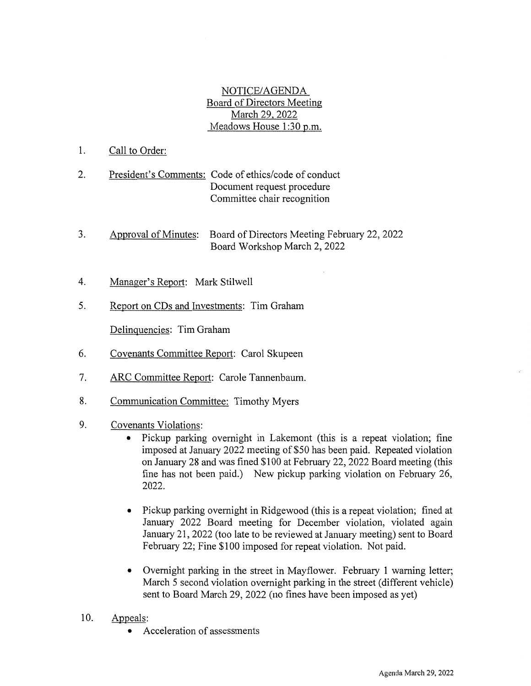NOTICE/AGENDA Board of Directors Meeting March 29, 2022 Meadows House 1:30 p.m.

- 1. Call to Order:
- 2. President's Comments: Code of ethics/code of conduct Document request procedure Committee chair recognition
- 3. Board of Directors Meeting February 22, 2022 Approval of Minutes: Board Workshop March 2, 2022
- 4. Manager's Report: Mark Stilwell
- 5. Report on CDs and Investments: Tim Graham

Delinquencies: Tim Graham

- 6. Covenants Committee Report: Carol Skupeen
- 7. ARC Committee Report: Carole Tannenbaum.
- 8. Communication Committee: Timothy Myers
- 9. Covenants Violations:
	- Pickup parking overnight in Lakemont (this is a repeat violation; fine  $\bullet$ imposed at January 2022 meeting of \$50 has been paid. Repeated violation on January 28 and was fined \$100 at February 22, 2022 Board meeting (this fine has not been paid.) New pickup parking violation on February 26, 2022.
	- Pickup parking overnight in Ridgewood (this is a repeat violation; fined at January 2022 Board meeting for December violation, violated again January 21, 2022 (too late to be reviewed at January meeting) sent to Board February 22; Fine \$100 imposed for repeat violation. Not paid.
	- Overnight parking in the street in Mayflower. February 1 warning letter; March 5 second violation overnight parking in the street (different vehicle) sent to Board March 29, 2022 (no fines have been imposed as yet)
- 10. Appeals:
	- Acceleration of assessments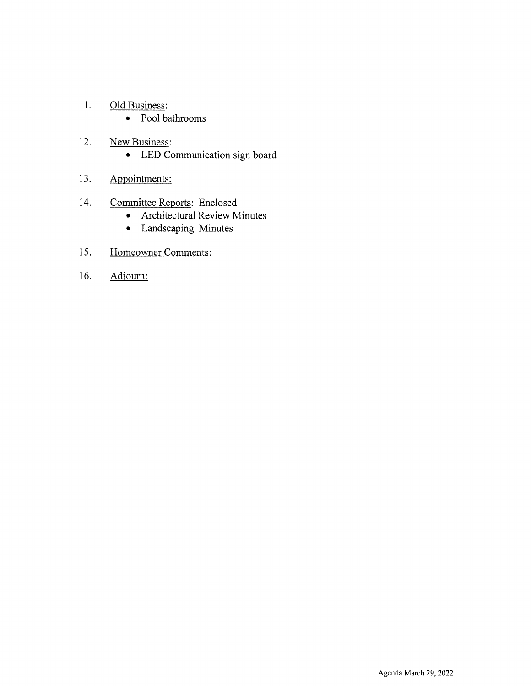- 11. Old Business:
	- Pool bathrooms
- 12. New Business:
	- LED Communication sign board
- 13. Appointments:
- Committee Reports: Enclosed 14.
	- Architectural Review Minutes
	- Landscaping Minutes
- 15. Homeowner Comments:
- 16. Adjourn: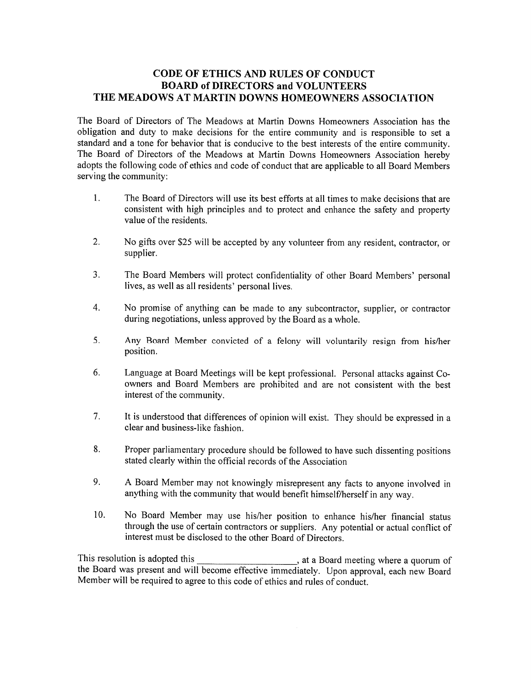### **CODE OF ETHICS AND RULES OF CONDUCT BOARD of DIRECTORS and VOLUNTEERS** THE MEADOWS AT MARTIN DOWNS HOMEOWNERS ASSOCIATION

The Board of Directors of The Meadows at Martin Downs Homeowners Association has the obligation and duty to make decisions for the entire community and is responsible to set a standard and a tone for behavior that is conducive to the best interests of the entire community. The Board of Directors of the Meadows at Martin Downs Homeowners Association hereby adopts the following code of ethics and code of conduct that are applicable to all Board Members serving the community:

- $1.$ The Board of Directors will use its best efforts at all times to make decisions that are consistent with high principles and to protect and enhance the safety and property value of the residents.
- $2.$ No gifts over \$25 will be accepted by any volunteer from any resident, contractor, or supplier.
- $3<sub>1</sub>$ The Board Members will protect confidentiality of other Board Members' personal lives, as well as all residents' personal lives.
- $4.$ No promise of anything can be made to any subcontractor, supplier, or contractor during negotiations, unless approved by the Board as a whole.
- 5. Any Board Member convicted of a felony will voluntarily resign from his/her position.
- 6. Language at Board Meetings will be kept professional. Personal attacks against Coowners and Board Members are prohibited and are not consistent with the best interest of the community.
- $7<sub>1</sub>$ It is understood that differences of opinion will exist. They should be expressed in a clear and business-like fashion.
- 8. Proper parliamentary procedure should be followed to have such dissenting positions stated clearly within the official records of the Association
- 9. A Board Member may not knowingly misrepresent any facts to anyone involved in anything with the community that would benefit himself/herself in any way.
- $10.$ No Board Member may use his/her position to enhance his/her financial status through the use of certain contractors or suppliers. Any potential or actual conflict of interest must be disclosed to the other Board of Directors.

This resolution is adopted this , at a Board meeting where a quorum of the Board was present and will become effective immediately. Upon approval, each new Board Member will be required to agree to this code of ethics and rules of conduct.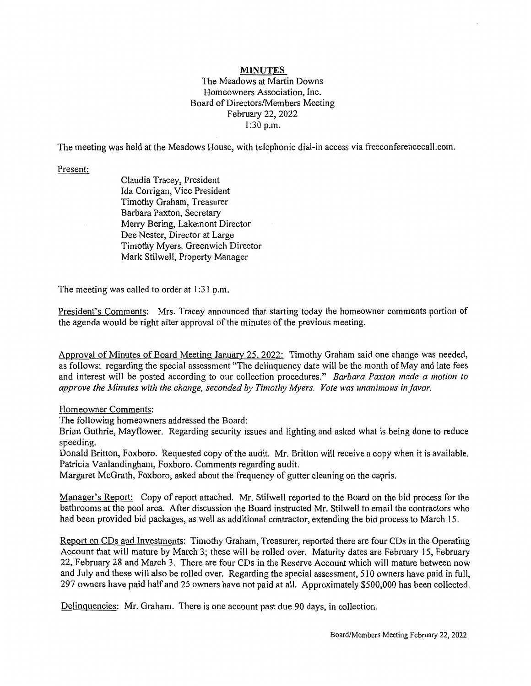#### **MINUTES**

#### The Meadows at Martin Downs Homeowners Association, Inc. Board of Directors/Members Meeting February 22, 2022 1:30 p.m.

The meeting was held at the Meadows House, with telephonic dial-in access via freeconferencecall.com.

Present:

Claudia Tracey, President Ida Corrigan, Vice President Timothy Graham, Treasurer Barbara Paxton, Secretary Merry Bering, Lakemont Director Dee Nester, Director at Large Timothy Myers, Greenwich Director Mark Stilwell, Property Manager

The meeting was called to order at 1:31 p.m.

President's Comments: Mrs. Tracey announced that starting today the homeowner comments portion of the agenda would be right after approval of the minutes of the previous meeting.

Approval of Minutes of Board Meeting January 25, 2022: Timothy Graham said one change was needed, as follows: regarding the special assessment "The delinquency date will be the month of May and late fees and interest will be posted according to our collection procedures." Barbara Paxton made a motion to approve the Minutes with the change, seconded by Timothy Myers. Vote was unanimous in favor.

Homeowner Comments:

The following homeowners addressed the Board:

Brian Guthrie, Mayflower. Regarding security issues and lighting and asked what is being done to reduce speeding.

Donald Britton, Foxboro. Requested copy of the audit. Mr. Britton will receive a copy when it is available. Patricia Vanlandingham, Foxboro. Comments regarding audit.

Margaret McGrath, Foxboro, asked about the frequency of gutter cleaning on the capris.

Manager's Report: Copy of report attached. Mr. Stilwell reported to the Board on the bid process for the bathrooms at the pool area. After discussion the Board instructed Mr. Stilwell to email the contractors who had been provided bid packages, as well as additional contractor, extending the bid process to March 15.

Report on CDs and Investments: Timothy Graham, Treasurer, reported there are four CDs in the Operating Account that will mature by March 3; these will be rolled over. Maturity dates are February 15, February 22, February 28 and March 3. There are four CDs in the Reserve Account which will mature between now and July and these will also be rolled over. Regarding the special assessment, 510 owners have paid in full, 297 owners have paid half and 25 owners have not paid at all. Approximately \$500,000 has been collected.

Delinquencies: Mr. Graham. There is one account past due 90 days, in collection.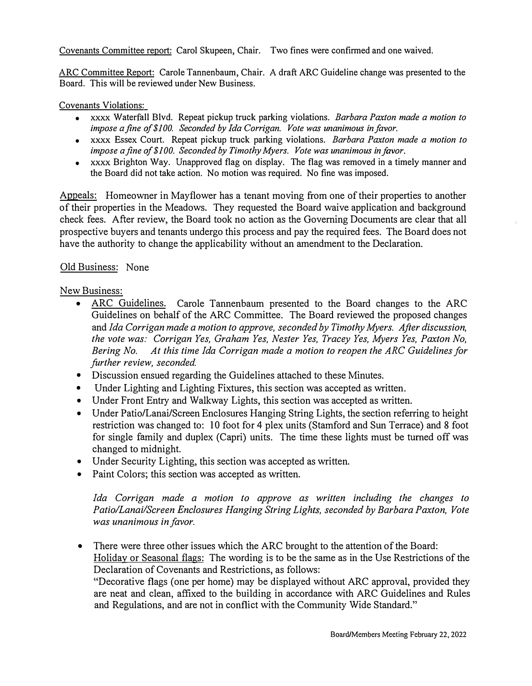Covenants Committee report: Carol Skupeen, Chair. Two fines were confirmed and one waived.

ARC Committee Report: Carole Tannenbaum, Chair. A draft ARC Guideline change was presented to the Board. This will be reviewed under New Business.

### Covenants Violations:

- xxxx Waterfall Blvd. Repeat pickup truck parking violations. *Barbara Paxton made a motion to impose a fine o/\$100. Seconded by Ida Corrigan. Vote was unanimous in favor.*
- xxxx Essex Court. Repeat pickup truck parking violations. *Barbara Paxton made a motion to impose a fine o/\$100. Seconded by Timothy Myers. Vote was unanimous in favor.*
- xxxx Brighton Way. Unapproved flag on display. The flag was removed in a timely manner and the Board did not take action. No motion was required. No fine was imposed.

Appeals: Homeowner in Mayflower has a tenant moving from one of their properties to another of their properties in the Meadows. They requested the Board waive application and background check fees. After review, the Board took no action as the Governing Documents are clear that all prospective buyers and tenants undergo this process and pay the required fees. The Board does not have the authority to change the applicability without an amendment to the Declaration.

# Old Business: None

# New Business:

- **ARC Guidelines.** Carole Tannenbaum presented to the Board changes to the ARC Guidelines on behalf of the ARC Committee. The Board reviewed the proposed changes and *Ida Corrigan made a motion to approve, seconded by Timothy Myers. After discussion, the vote was: Corrigan Yes, Graham Yes, Nester Yes, Tracey Yes, Myers Yes, Paxton No, Bering No. At this time Ida Corrigan made a motion to reopen the ARC Guidelines for further review, seconded.*
- Discussion ensued regarding the Guidelines attached to these Minutes.
- Under Lighting and Lighting Fixtures, this section was accepted as written.
- Under Front Entry and Walkway Lights, this section was accepted as written.
- Under Patio/Lanai/Screen Enclosures Hanging String Lights, the section referring to height restriction was changed to: 10 foot for 4 plex units (Stamford and Sun Terrace) and 8 foot for single family and duplex (Capri) units. The time these lights must be turned off was changed to midnight.
- Under Security Lighting, this section was accepted as written.
- Paint Colors; this section was accepted as written.

Ida Corrigan made a motion to approve as written including the changes to *Patio/Lanai/Screen Enclosures Hanging String Lights, seconded by Barbara Paxton, Vote was unanimous in favor.* 

• There were three other issues which the ARC brought to the attention of the Board: Holiday or Seasonal flags: The wording is to be the same as in the Use Restrictions of the Declaration of Covenants and Restrictions, as follows:

"Decorative flags ( one per home) may be displayed without ARC approval, provided they are neat and clean, affixed to the building in accordance with ARC Guidelines and Rules and Regulations, and are not in conflict with the Community Wide Standard."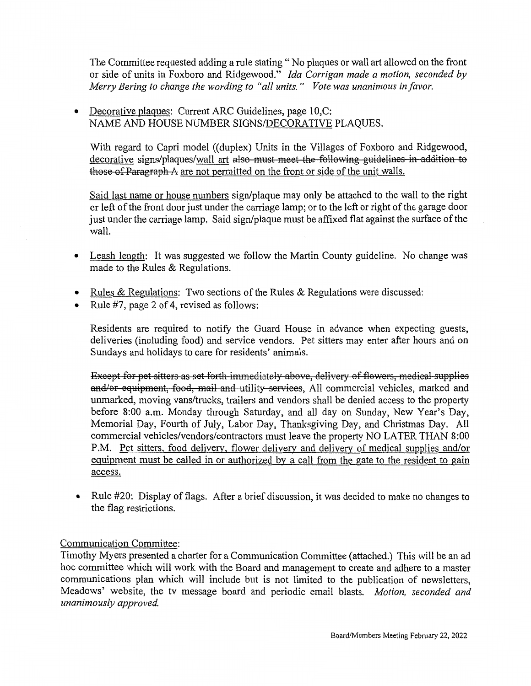The Committee requested adding a rule stating "No plaques or wall art allowed on the front or side of units in Foxboro and Ridgewood." Ida Corrigan made a motion, seconded by Merry Bering to change the wording to "all units." Vote was unanimous in favor.

Decorative plaques: Current ARC Guidelines, page 10, C:  $\bullet$ NAME AND HOUSE NUMBER SIGNS/DECORATIVE PLAQUES.

With regard to Capri model ((duplex) Units in the Villages of Foxboro and Ridgewood, decorative signs/plaques/wall art also-must meet the following guidelines in addition to those of Paragraph A are not permitted on the front or side of the unit walls.

Said last name or house numbers sign/plaque may only be attached to the wall to the right or left of the front door just under the carriage lamp; or to the left or right of the garage door just under the carriage lamp. Said sign/plaque must be affixed flat against the surface of the wall.

- Leash length: It was suggested we follow the Martin County guideline. No change was  $\bullet$ made to the Rules & Regulations.
- <u>Rules & Regulations</u>: Two sections of the Rules & Regulations were discussed:
- Rule #7, page 2 of 4, revised as follows:

Residents are required to notify the Guard House in advance when expecting guests, deliveries (including food) and service vendors. Pet sitters may enter after hours and on Sundays and holidays to care for residents' animals.

Except for pet sitters as set forth immediately above, delivery of flowers, medical supplies and/or equipment, food, mail and utility services, All commercial vehicles, marked and unmarked, moving vans/trucks, trailers and vendors shall be denied access to the property before 8:00 a.m. Monday through Saturday, and all day on Sunday, New Year's Day, Memorial Day, Fourth of July, Labor Day, Thanksgiving Day, and Christmas Day. All commercial vehicles/vendors/contractors must leave the property NO LATER THAN 8:00 P.M. Pet sitters, food delivery, flower delivery and delivery of medical supplies and/or equipment must be called in or authorized by a call from the gate to the resident to gain access.

Rule #20: Display of flags. After a brief discussion, it was decided to make no changes to  $\bullet$ the flag restrictions.

# Communication Committee:

Timothy Myers presented a charter for a Communication Committee (attached.) This will be an ad hoc committee which will work with the Board and management to create and adhere to a master communications plan which will include but is not limited to the publication of newsletters, Meadows' website, the tv message board and periodic email blasts. Motion, seconded and unanimously approved.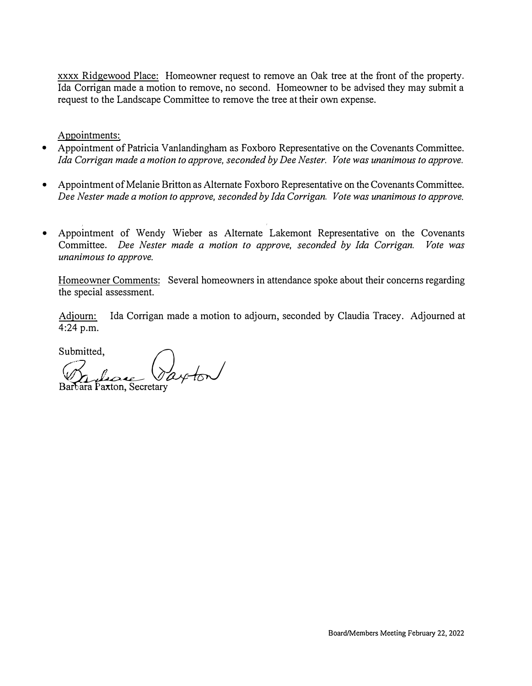xxxx Ridgewood Place: Homeowner request to remove an Oak tree at the front of the property. Ida Corrigan made a motion to remove, no second. Homeowner to be advised they may submit a request to the Landscape Committee to remove the tree at their own expense.

Appointments:

- Appointment of Patricia Vanlandingham as Foxboro Representative on the Covenants Committee. *Ida Corrigan made a motion to approve, seconded by Dee Nester. Vote was unanimous to approve.*
- Appointment of Melanie Britton as Alternate Foxboro Representative on the Covenants Committee. *Dee Nester made a motion to approve, seconded by Ida Corrigan. Vote was unanimous to approve.*
- Appointment of Wendy Wieber as Alternate Lakemont Representative on the Covenants Committee. *Dee Nester made a motion to approve, seconded by Ida Corrigan. Vote was unanimous to approve.*

Homeowner Comments: Several homeowners in attendance spoke about their concerns regarding the special assessment.

Adjourn: Ida Corrigan made a motion to adjourn, seconded by Claudia Tracey. Adjourned at 4:24 p.m.

Submitted. itted,  $\bigcap$ *c7\_ /l WIJJf-kJ* B�retary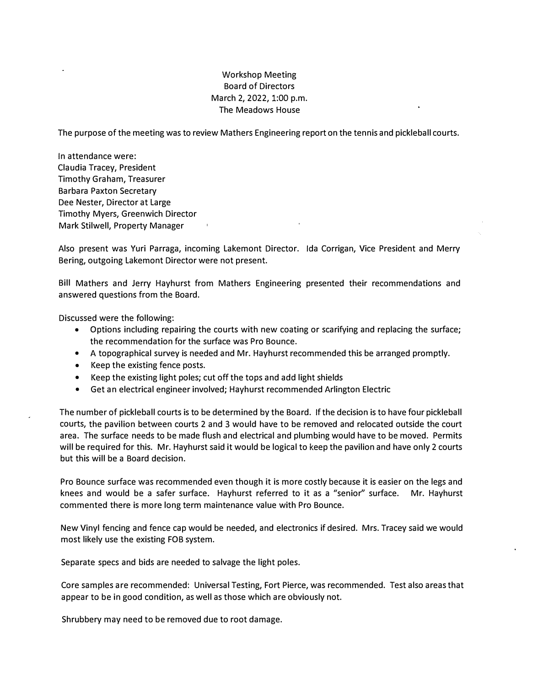### Workshop Meeting Board of Directors March 2, 2022, 1:00 p.m. The Meadows House

The purpose of the meeting was to review Mathers Engineering report on the tennis and pickleball courts.

In attendance were: Claudia Tracey, President Timothy Graham, Treasurer Barbara Paxton Secretary Dee Nester, Director at large Timothy Myers, Greenwich Director Mark Stilwell, Property Manager

Also present was Yuri Parraga, incoming lakemont Director. Ida Corrigan, Vice President and Merry Bering, outgoing lakemont Director were not present.

Bill Mathers and Jerry Hayhurst from Mathers Engineering presented their recommendations and answered questions from the Board.

Discussed were the following:

- Options including repairing the courts with new coating or scarifying and replacing the surface; the recommendation for the surface was Pro Bounce.
- A topographical survey is needed and Mr. Hayhurst recommended this be arranged promptly.
- Keep the existing fence posts.
- Keep the existing light poles; cut off the tops and add light shields
- Get an electrical engineer involved; Hayhurst recommended Arlington Electric

The number of pickleball courts is to be determined by the Board. If the decision is to have four pickleball courts, the pavilion between courts 2 and 3 would have to be removed and relocated outside the court area. The surface needs to be made flush and electrical and plumbing would have to be moved. Permits will be required for this. Mr. Hayhurst said it would be logical to keep the pavilion and have only 2 courts but this will be a Board decision.

Pro Bounce surface was recommended even though it is more costly because it is easier on the legs and knees and would be a safer surface. Hayhurst referred to it as a "senior" surface. Mr. Hayhurst commented there is more long term maintenance value with Pro Bounce.

New Vinyl fencing and fence cap would be needed, and electronics if desired. Mrs. Tracey said we would most likely use the existing FOB system.

Separate specs and bids are needed to salvage the light poles.

Core samples are recommended: Universal Testing, Fort Pierce, was recommended. Test also areas that appear to be in good condition, as well as those which are obviously not.

Shrubbery may need to be removed due to root damage.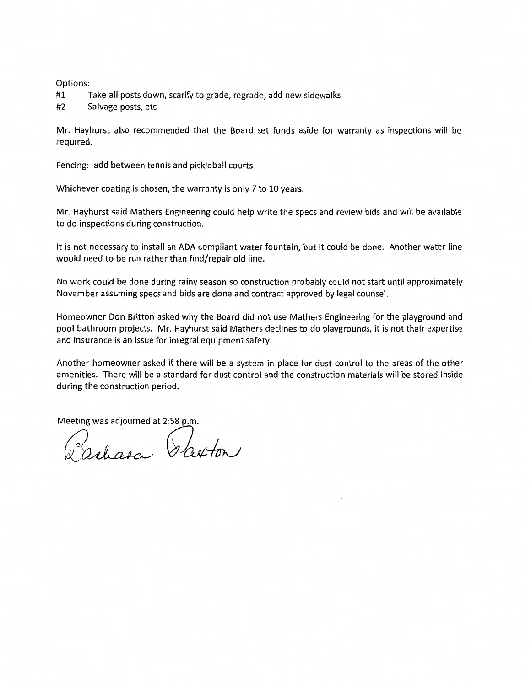Options:

#1 Take all posts down, scarify to grade, regrade, add new sidewalks

#2 Salvage posts, etc

Mr. Hayhurst also recommended that the Board set funds aside for warranty as inspections will be required.

Fencing: add between tennis and pickleball courts

Whichever coating is chosen, the warranty is only 7 to 10 years.

Mr. Hayhurst said Mathers Engineering could help write the specs and review bids and will be available to do inspections during construction.

It is not necessary to install an ADA compliant water fountain, but it could be done. Another water line would need to be run rather than find/repair old line.

No work could be done during rainy season so construction probably could not start until approximately November assuming specs and bids are done and contract approved by legal counsel.

Homeowner Don Britton asked why the Board did not use Mathers Engineering for the playground and pool bathroom projects. Mr. Hayhurst said Mathers declines to do playgrounds, it is not their expertise and insurance is an issue for integral equipment safety.

Another homeowner asked if there will be a system in place for dust control to the areas of the other amenities. There will be a standard for dust control and the construction materials will be stored inside during the construction period.

Meeting was adjourned at 2:58 p.m

Parlasa Parton